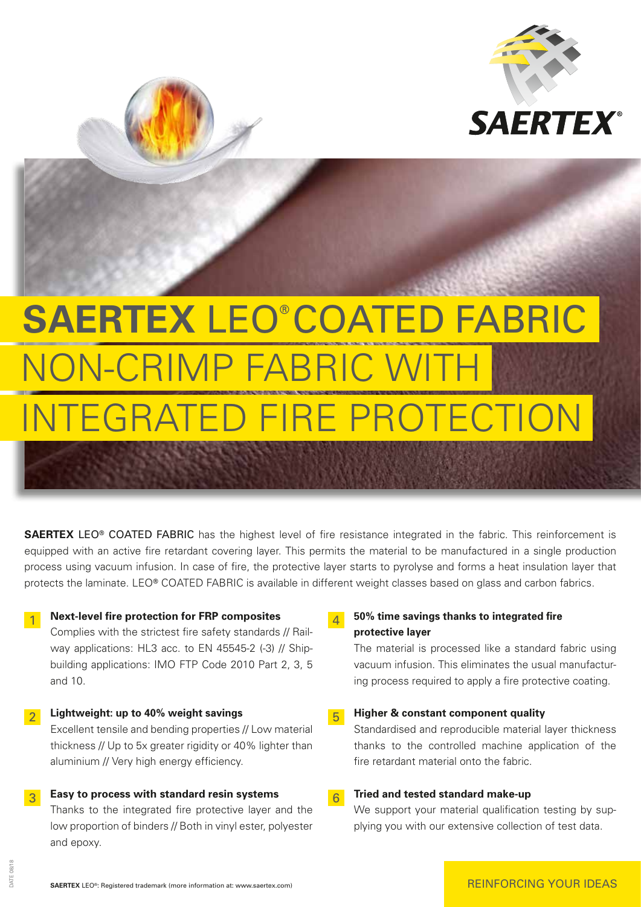

# **SAERTEX** LEO® COATED FABRIC NON-CRIMP FABRIC WIT TEGRATED FIRE PROTECTION

**SAERTEX** LEO® COATED FABRIC has the highest level of fire resistance integrated in the fabric. This reinforcement is equipped with an active fire retardant covering layer. This permits the material to be manufactured in a single production process using vacuum infusion. In case of fire, the protective layer starts to pyrolyse and forms a heat insulation layer that protects the laminate. LEO® COATED FABRIC is available in different weight classes based on glass and carbon fabrics.

#### **1** Next-level fire protection for FRP composites

 Complies with the strictest fire safety standards // Railway applications: HL3 acc. to EN 45545-2 (-3) // Shipbuilding applications: IMO FTP Code 2010 Part 2, 3, 5 and 10.

2 **Lightweight: up to 40% weight savings** Excellent tensile and bending properties // Low material thickness // Up to 5x greater rigidity or 40% lighter than aluminium // Very high energy efficiency.

### 3 **Easy to process with standard resin systems**

 Thanks to the integrated fire protective layer and the low proportion of binders // Both in vinyl ester, polyester and epoxy.

#### 4 **50% time savings thanks to integrated fire protective layer**

 The material is processed like a standard fabric using vacuum infusion. This eliminates the usual manufacturing process required to apply a fire protective coating.

#### 5 **Higher & constant component quality**

 Standardised and reproducible material layer thickness thanks to the controlled machine application of the fire retardant material onto the fabric.

## 6 **Tried and tested standard make-up**

We support your material qualification testing by supplying you with our extensive collection of test data.